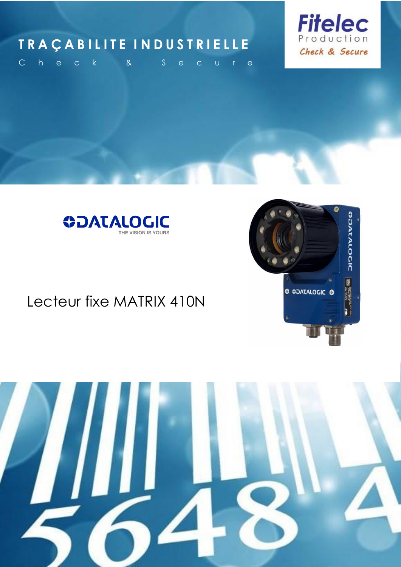### **T R A Ç A B I L I T E I N D U S T R I E L L E**



**SPATALOCIC** 

图

ce active

**O COATALOGIC @** 

C h e c k & S e c u r e



### Lecteur fixe MATRIX 410N

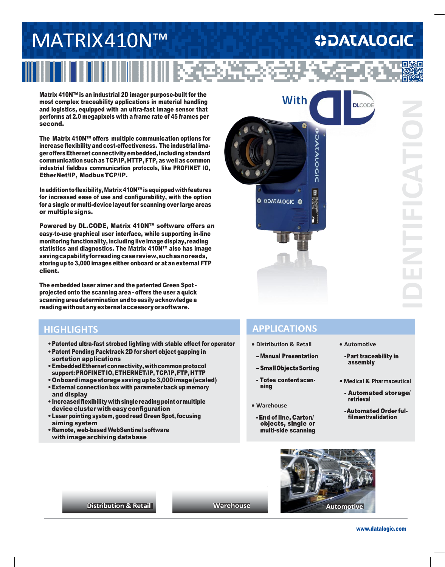# MATRIX410N™

## **ODATALOGIC**

Matrix 410N™ is an industrial 2D imager purpose-built for the most complex traceability applications in material handling and logistics, equipped with an ultra-fast image sensor that performs at 2.0 megapixels with a frame rate of 45 frames per second.

The Matrix 410N™ offers multiple communication options for increase flexibility and cost-effectiveness. The industrial imager offers Ethernet connectivity embedded, including standard communication such as TCP/IP, HTTP, FTP, as well as common industrial fieldbus communication protocols, like PROFINET IO, EtherNet/IP, Modbus TCP/IP.

Inadditiontoflexibility,Matrix410N™isequippedwithfeatures for increased ease of use and configurability, with the option for a single or multi-device layout for scanning over large areas or multiplesigns.

Powered by DL.CODE, Matrix 410N™ software offers an easy-to-use graphical user interface, while supporting in-line monitoring functionality, including liveimagedisplay, reading statistics and diagnostics. The Matrix 410N™ also has image savingcapabilityforreadingcasereview,suchasnoreads, storing up to 3,000 images either onboard or at an external FTP client.

The embedded laser aimer and the patented Green Spot projected onto the scanning area - offers the user a quick scanning area determination and to easily acknowledge a readingwithoutanyexternalaccessoryorsoftware.

#### **HIGHLIGHTS**

- •Patented ultra-fast strobed lighting with stable effect for operator
- •Patent Pending Packtrack 2D for short object gapping in sortation applications
- Embedded Ethernet connectivity, with common protocol support: PROFINET IO, ETHERNET/IP, TCP/IP,FTP, HTTP
- •Onboardimagestoragesavingupto3,000image(scaled)
- •External connection box with parameter back up memory and display
- •Increasedflexibility withsingle reading pointormultiple device cluster with easy configuration
- Laser pointing system, good read Green Spot, focusing aiming system
- •Remote, web-based WebSentinel software with image archiving database



#### **APPLICATIONS**

- **Distribution & Retail •** Automotive
- Manual Presentation
- Small Objects Sorting
- Totes content scannina
- **Warehouse**
	- multi-side scanning -End of line, Carton/<br>objects, single or
- 
- assembly - Part traceability in
- Medical & Pharmaceutical
- retrieval - Automated storage/
- 



**Distribution & Retail** 

**Warehouse**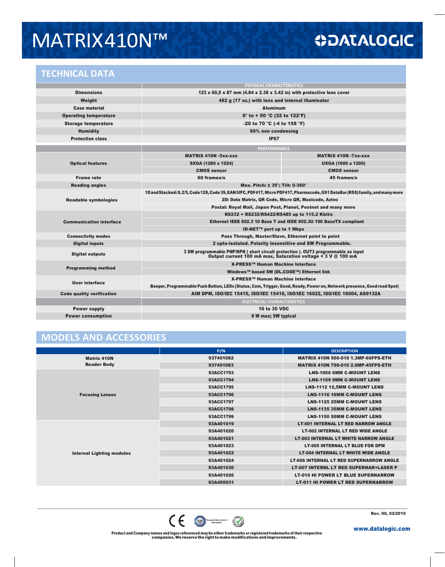## MATRIX410N™

#### **TECHNICAL DATA**

|                                  | PHYSICAL CHARACTERISTICS                                                                                                                                       |                             |  |
|----------------------------------|----------------------------------------------------------------------------------------------------------------------------------------------------------------|-----------------------------|--|
| <b>Dimensions</b>                | 123 x 60.5 x 87 mm $(4.84 \times 2.38 \times 3.42)$ in) with protective lens cover                                                                             |                             |  |
| Weight                           | 482 g (17 oz.) with lens and internal illuminator                                                                                                              |                             |  |
| <b>Case material</b>             | <b>Aluminum</b>                                                                                                                                                |                             |  |
| <b>Operating temperature</b>     | 0° to + 50 °C (32 to 122°F)                                                                                                                                    |                             |  |
| <b>Storage temperature</b>       | -20 to 70 °C (-4 to 158 °F)                                                                                                                                    |                             |  |
| <b>Humidity</b>                  | 90% non condensing                                                                                                                                             |                             |  |
| <b>Protection class</b>          | <b>IP67</b>                                                                                                                                                    |                             |  |
|                                  | <b>PERFORMANCE</b>                                                                                                                                             |                             |  |
| <b>Optical features</b>          | <b>MATRIX 410N -5xx-xxx</b>                                                                                                                                    | <b>MATRIX 410N -7xx-xxx</b> |  |
|                                  | SXGA (1280 x 1024)                                                                                                                                             | <b>UXGA (1600 x 1200)</b>   |  |
|                                  | <b>CMOS sensor</b>                                                                                                                                             | <b>CMOS sensor</b>          |  |
| <b>Frame rate</b>                | 60 frames/s                                                                                                                                                    | 45 frames/s                 |  |
| <b>Reading angles</b>            | Max. Pitch: ± 35°; Tilt: 0-360°                                                                                                                                |                             |  |
| <b>Readable symbologies</b>      | 1D and Stacked: IL 2/5, Code 128, Code 39, EAN/UPC, PDF417, Micro PDF417, Pharmacode, GS1 DataBar (RSS) family, and many more                                  |                             |  |
|                                  | 2D: Data Matrix, QR Code, Micro QR, Maxicode, Aztec                                                                                                            |                             |  |
|                                  | Postal: Royal Mail, Japan Post, Planet, Postnet and many more                                                                                                  |                             |  |
| <b>Communication interface</b>   | RS232 + RS232/RS422/RS485 up to 115.2 Kbit/s                                                                                                                   |                             |  |
|                                  | Ethernet IEEE 802.3 10 Base T and IEEE 802.3U 100 BaseTX compliant                                                                                             |                             |  |
|                                  | <b>ID-NET™ port up to 1 Mbps</b>                                                                                                                               |                             |  |
| <b>Connectivity modes</b>        | Pass Through, Master/Slave, Ethernet point to point                                                                                                            |                             |  |
| <b>Digital inputs</b>            | 2 opto-isolated. Polarity insensitive and SW Programmable.                                                                                                     |                             |  |
| <b>Digital outputs</b>           | 3 SW programmable PNP/NPN ( short circuit protection ). OUT3 programmable as input<br>Output current 100 mA max, Saturation voltage $\leq$ 3 V $\omega$ 100 mA |                             |  |
| <b>Programming method</b>        | X-PRESS™ Human Machine Interface                                                                                                                               |                             |  |
|                                  | Windows™ based SW (DL.CODE™) Ethernet link                                                                                                                     |                             |  |
| User interface                   | X-PRESS™ Human Machine Interface                                                                                                                               |                             |  |
|                                  | Beeper, Programmable Push Button, LEDs (Status, Com, Trigger, Good, Ready, Power on, Network presence, Good read Spot)                                         |                             |  |
| <b>Code quality verification</b> | AIM DPM, ISO/IEC 15415, ISO/IEC 15416, ISO/IEC 16022, ISO/IEC 18004, AS9132A                                                                                   |                             |  |
|                                  | <b>ELECTRICAL CHARACTERISTICS</b>                                                                                                                              |                             |  |
| <b>Power supply</b>              | 10 to 30 VDC                                                                                                                                                   |                             |  |
| <b>Power consumption</b>         | 8 W max; 5W typical                                                                                                                                            |                             |  |

#### **MODELS AND ACCESSORIES**

|                                          | P/N       | <b>DESCRIPTION</b>                              |
|------------------------------------------|-----------|-------------------------------------------------|
| <b>Matrix 410N</b><br><b>Reader Body</b> | 937401082 | <b>MATRIX 410N 500-010 1.3MP-60FPS-ETH</b>      |
|                                          | 937401083 | <b>MATRIX 410N 700-010 2.0MP-45FPS-ETH</b>      |
| <b>Focusing Lenses</b>                   | 93ACC1793 | <b>LNS-1006 6MM C-MOUNT LENS</b>                |
|                                          | 93ACC1794 | <b>LNS-1109 9MM C-MOUNT LENS</b>                |
|                                          | 93ACC1795 | <b>LNS-1112 12,5MM C-MOUNT LENS</b>             |
|                                          | 93ACC1796 | <b>LNS-1116 16MM C-MOUNT LENS</b>               |
|                                          | 93ACC1797 | <b>LNS-1125 25MM C-MOUNT LENS</b>               |
|                                          | 93ACC1798 | <b>LNS-1135 35MM C-MOUNT LENS</b>               |
|                                          | 93ACC1799 | <b>LNS-1150 50MM C-MOUNT LENS</b>               |
|                                          | 93A401019 | <b>LT-001 INTERNAL LT RED NARROW ANGLE</b>      |
|                                          | 93A401020 | <b>LT-002 INTERNAL LT RED WIDE ANGLE</b>        |
|                                          | 93A401021 | <b>LT-003 INTERNAL LT WHITE NARROW ANGLE</b>    |
|                                          | 93A401023 | <b>LT-005 INTERNAL LT BLUE FOR DPM</b>          |
| <b>Internal Lighting modules</b>         | 93A401022 | <b>LT-004 INTERNAL LT WHITE WIDE ANGLE</b>      |
|                                          | 93A401024 | <b>LT-006 INTERNAL LT RED SUPERNARROW ANGLE</b> |
|                                          | 93A401030 | <b>LT-007 INTERNL LT RED SUPERNAR+LASER P</b>   |
|                                          | 93A401026 | <b>LT-010 HI POWER LT BLUE SUPERNARROW</b>      |
|                                          | 93A400031 | <b>LT-011 HI POWER LT RED SUPERNARROW</b>       |

Rev. 00, 02/2015



Product and Company names and logos referenced may be either trademarks or registered trademarks of their respective companies. Wereserve theright tomake modifications andimprovements.

[www.datalogic.com](http://www.datalogic.com/)